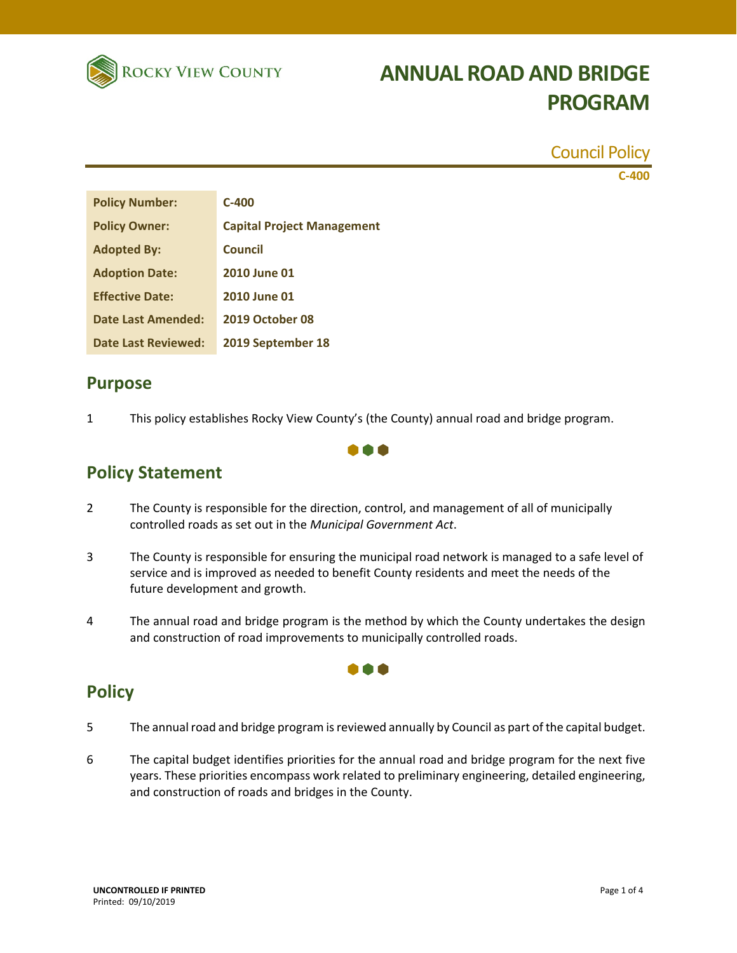

|                                   | <b>Council Policy</b> |
|-----------------------------------|-----------------------|
|                                   | $C-400$               |
| $C-400$                           |                       |
| <b>Capital Project Management</b> |                       |
| <b>Council</b>                    |                       |
| 2010 June 01                      |                       |
| 2010 June 01                      |                       |
| <b>2019 October 08</b>            |                       |
| 2019 September 18                 |                       |
|                                   |                       |

## **Purpose**

1 This policy establishes Rocky View County's (the County) annual road and bridge program.

000

## **Policy Statement**

- 2 The County is responsible for the direction, control, and management of all of municipally controlled roads as set out in the *Municipal Government Act*.
- 3 The County is responsible for ensuring the municipal road network is managed to a safe level of service and is improved as needed to benefit County residents and meet the needs of the future development and growth.
- 4 The annual road and bridge program is the method by which the County undertakes the design and construction of road improvements to municipally controlled roads.

...

## **Policy**

- 5 The annual road and bridge program is reviewed annually by Council as part of the capital budget.
- 6 The capital budget identifies priorities for the annual road and bridge program for the next five years. These priorities encompass work related to preliminary engineering, detailed engineering, and construction of roads and bridges in the County.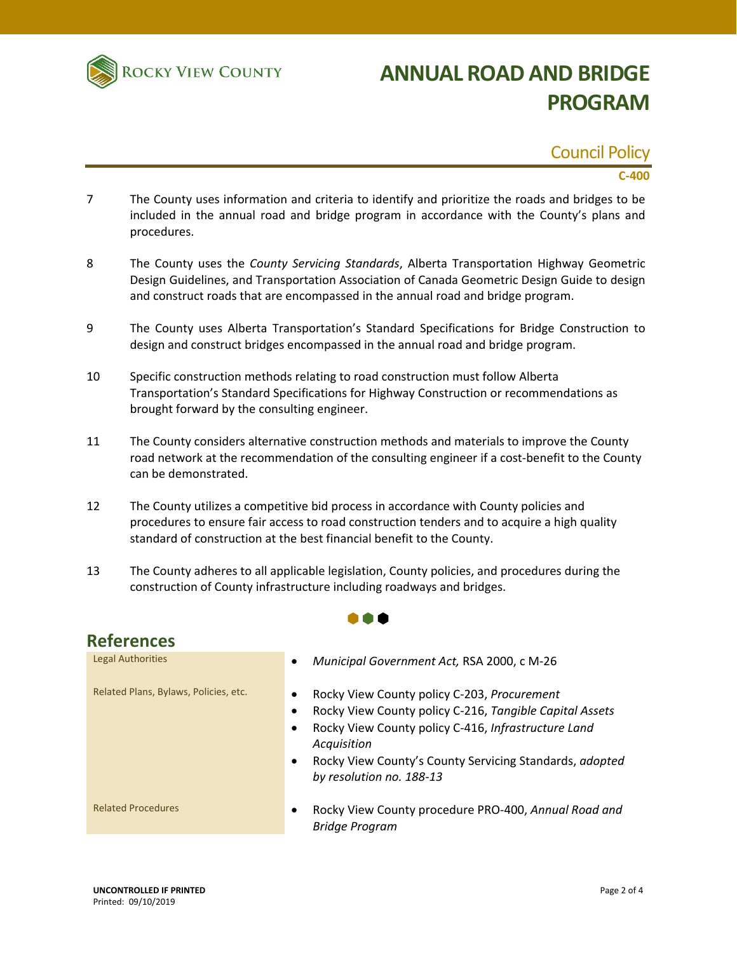

### Council Policy

#### **C‐400**

- 7 The County uses information and criteria to identify and prioritize the roads and bridges to be included in the annual road and bridge program in accordance with the County's plans and procedures.
- 8 The County uses the *County Servicing Standards*, Alberta Transportation Highway Geometric Design Guidelines, and Transportation Association of Canada Geometric Design Guide to design and construct roads that are encompassed in the annual road and bridge program.
- 9 The County uses Alberta Transportation's Standard Specifications for Bridge Construction to design and construct bridges encompassed in the annual road and bridge program.
- 10 Specific construction methods relating to road construction must follow Alberta Transportation's Standard Specifications for Highway Construction or recommendations as brought forward by the consulting engineer.
- 11 The County considers alternative construction methods and materials to improve the County road network at the recommendation of the consulting engineer if a cost-benefit to the County can be demonstrated.
- 12 The County utilizes a competitive bid process in accordance with County policies and procedures to ensure fair access to road construction tenders and to acquire a high quality standard of construction at the best financial benefit to the County.
- 13 The County adheres to all applicable legislation, County policies, and procedures during the construction of County infrastructure including roadways and bridges.

 $\bullet \bullet \bullet$ 

| <b>References</b>                     |                                                                                                                                                                    |  |  |
|---------------------------------------|--------------------------------------------------------------------------------------------------------------------------------------------------------------------|--|--|
| <b>Legal Authorities</b>              | Municipal Government Act, RSA 2000, c M-26<br>٠                                                                                                                    |  |  |
| Related Plans, Bylaws, Policies, etc. | Rocky View County policy C-203, Procurement<br>Rocky View County policy C-216, Tangible Capital Assets<br>٠<br>Rocky View County policy C-416, Infrastructure Land |  |  |
|                                       | Acquisition<br>Rocky View County's County Servicing Standards, adopted<br>٠<br>by resolution no. 188-13                                                            |  |  |
| <b>Related Procedures</b>             | Rocky View County procedure PRO-400, Annual Road and<br><b>Bridge Program</b>                                                                                      |  |  |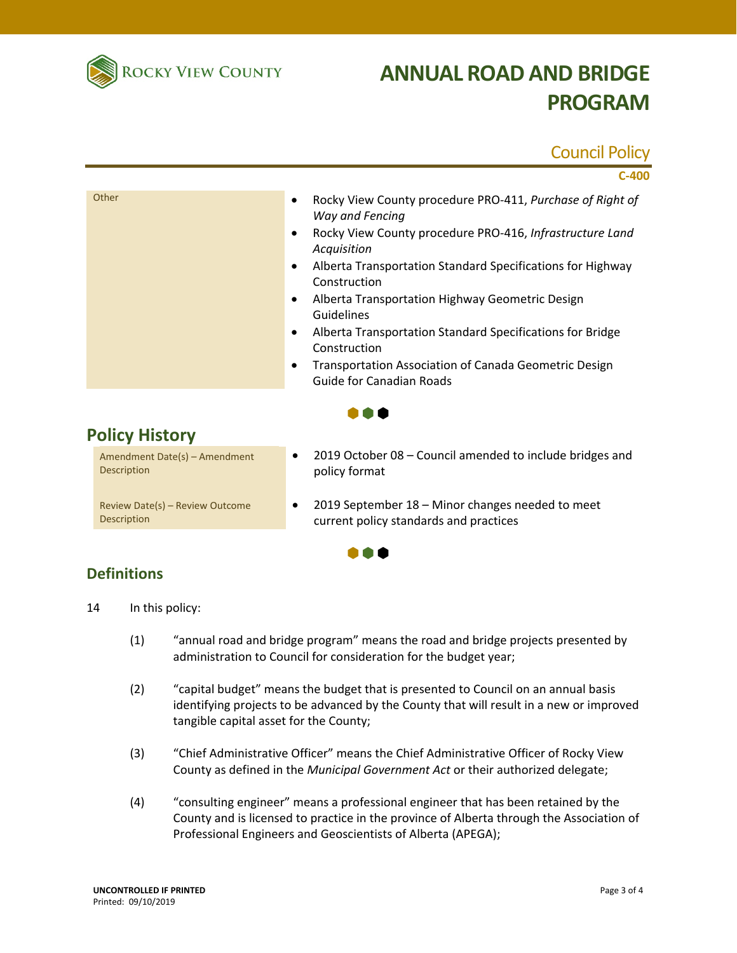

### Council Policy

|                                              | $C-400$                                                                                                                                                                                                                                                                                                                                                                                                                                                                                                |
|----------------------------------------------|--------------------------------------------------------------------------------------------------------------------------------------------------------------------------------------------------------------------------------------------------------------------------------------------------------------------------------------------------------------------------------------------------------------------------------------------------------------------------------------------------------|
| Other                                        | Rocky View County procedure PRO-411, Purchase of Right of<br>٠<br>Way and Fencing<br>Rocky View County procedure PRO-416, Infrastructure Land<br>٠<br>Acquisition<br>Alberta Transportation Standard Specifications for Highway<br>٠<br>Construction<br>Alberta Transportation Highway Geometric Design<br>٠<br>Guidelines<br>Alberta Transportation Standard Specifications for Bridge<br>٠<br>Construction<br>Transportation Association of Canada Geometric Design<br>٠<br>Guide for Canadian Roads |
| <b>Policy History</b>                        |                                                                                                                                                                                                                                                                                                                                                                                                                                                                                                        |
| Amendment Date(s) - Amendment<br>Description | 2019 October 08 - Council amended to include bridges and<br>$\bullet$<br>policy format                                                                                                                                                                                                                                                                                                                                                                                                                 |

Review Date(s) – Review Outcome Description

 2019 September 18 – Minor changes needed to meet current policy standards and practices



### **Definitions**

14 In this policy:

- (1) "annual road and bridge program" means the road and bridge projects presented by administration to Council for consideration for the budget year;
- (2) "capital budget" means the budget that is presented to Council on an annual basis identifying projects to be advanced by the County that will result in a new or improved tangible capital asset for the County;
- (3) "Chief Administrative Officer" means the Chief Administrative Officer of Rocky View County as defined in the *Municipal Government Act* or their authorized delegate;
- (4) "consulting engineer" means a professional engineer that has been retained by the County and is licensed to practice in the province of Alberta through the Association of Professional Engineers and Geoscientists of Alberta (APEGA);